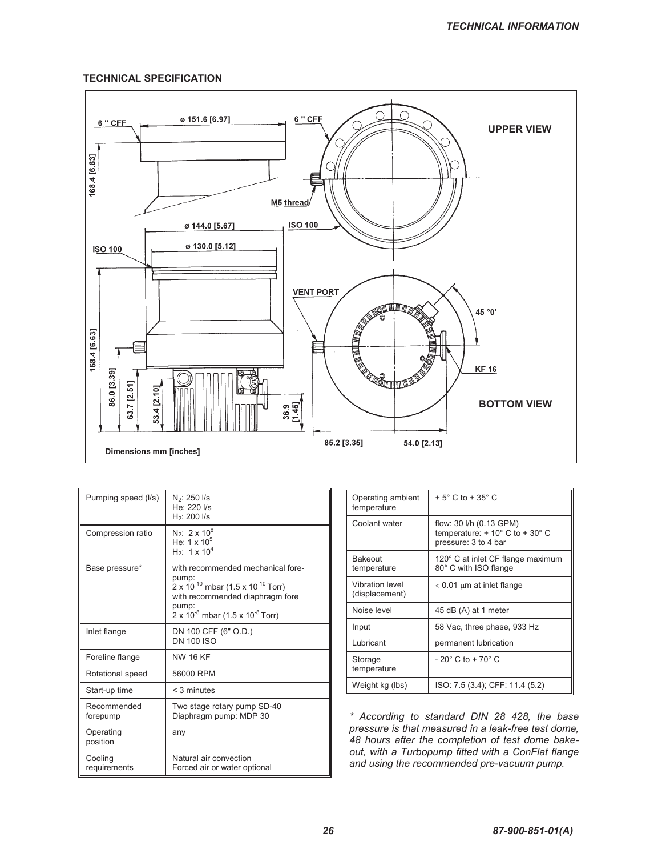## **TECHNICAL SPECIFICATION**



| Pumping speed (I/s)     | N <sub>2</sub> : 250 I/s<br>He: 220 l/s<br>$H_2$ : 200 $I/s$                                                                                                                                               |
|-------------------------|------------------------------------------------------------------------------------------------------------------------------------------------------------------------------------------------------------|
| Compression ratio       | $N_2$ : 2 x 10 <sup>8</sup><br>He: $1 \times 10^5$<br>$H_2$ : 1 x 10 <sup>4</sup>                                                                                                                          |
| Base pressure*          | with recommended mechanical fore-<br>pump:<br>$2 \times 10^{-10}$ mbar (1.5 x 10 <sup>-10</sup> Torr)<br>with recommended diaphragm fore<br>pump:<br>$2 \times 10^{-8}$ mbar (1.5 x 10 <sup>-8</sup> Torr) |
| Inlet flange            | DN 100 CFF (6" O.D.)<br><b>DN 100 ISO</b>                                                                                                                                                                  |
| Foreline flange         | <b>NW 16 KF</b>                                                                                                                                                                                            |
| Rotational speed        | 56000 RPM                                                                                                                                                                                                  |
| Start-up time           | $<$ 3 minutes                                                                                                                                                                                              |
| Recommended<br>forepump | Two stage rotary pump SD-40<br>Diaphragm pump: MDP 30                                                                                                                                                      |
| Operating<br>position   | any                                                                                                                                                                                                        |
| Cooling<br>requirements | Natural air convection<br>Forced air or water optional                                                                                                                                                     |

| Operating ambient<br>temperature  | $+5^{\circ}$ C to $+35^{\circ}$ C                                                                  |
|-----------------------------------|----------------------------------------------------------------------------------------------------|
| Coolant water                     | flow: 30 l/h (0.13 GPM)<br>temperature: $+10^{\circ}$ C to $+30^{\circ}$ C<br>pressure: 3 to 4 bar |
| Bakeout<br>temperature            | 120° C at inlet CF flange maximum<br>80° C with ISO flange                                         |
| Vibration level<br>(displacement) | $< 0.01 \mu m$ at inlet flange                                                                     |
| Noise level                       | 45 dB (A) at 1 meter                                                                               |
| Input                             | 58 Vac, three phase, 933 Hz                                                                        |
| Lubricant                         | permanent lubrication                                                                              |
| Storage<br>temperature            | $-20^{\circ}$ C to $+70^{\circ}$ C                                                                 |
| Weight kg (lbs)                   | ISO: 7.5 (3.4); CFF: 11.4 (5.2)                                                                    |

*\* According to standard DIN 28 428, the base pressure is that measured in a leak-free test dome, 48 hours after the completion of test dome bakeout, with a Turbopump fitted with a ConFlat flange and using the recommended pre-vacuum pump.*